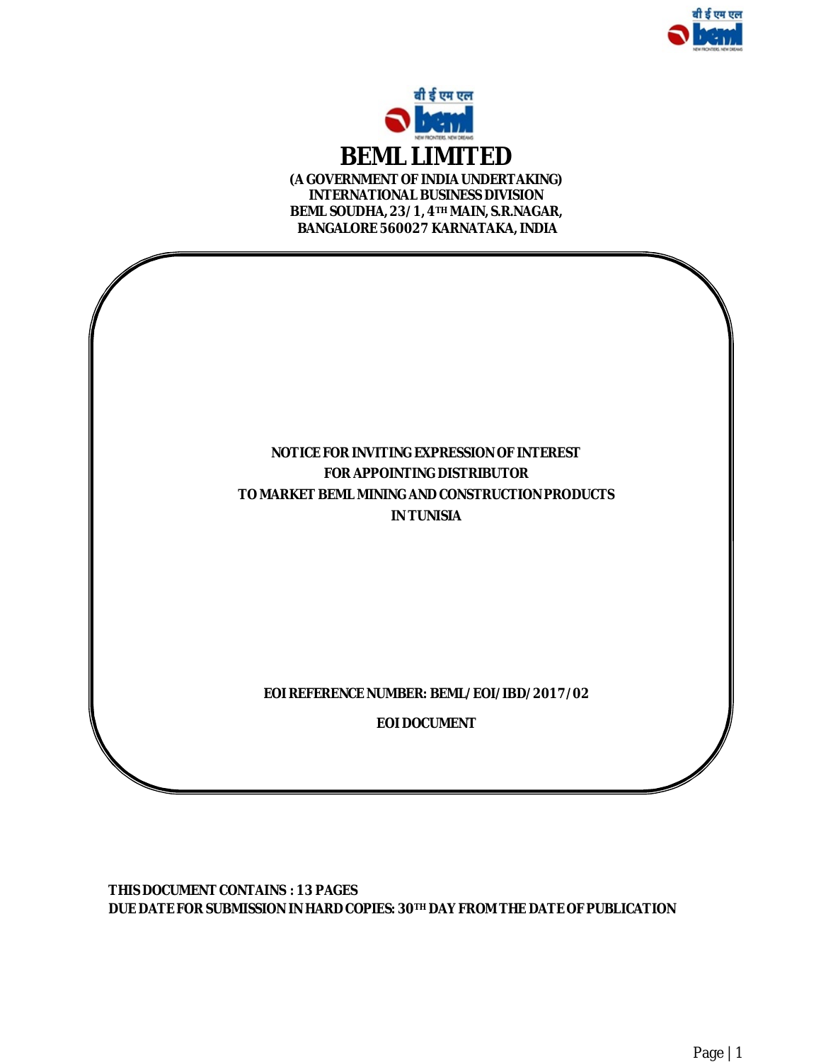



**(A GOVERNMENT OF INDIAUNDERTAKING) INTERNATIONAL BUSINESS DIVISION BEML SOUDHA, 23/1, 4TH MAIN, S.R.NAGAR, BANGALORE 560027 KARNATAKA, INDIA**



**THIS DOCUMENT CONTAINS : 13 PAGES DUE DATE FOR SUBMISSION IN HARD COPIES: 30TH DAY FROM THE DATEOF PUBLICATION**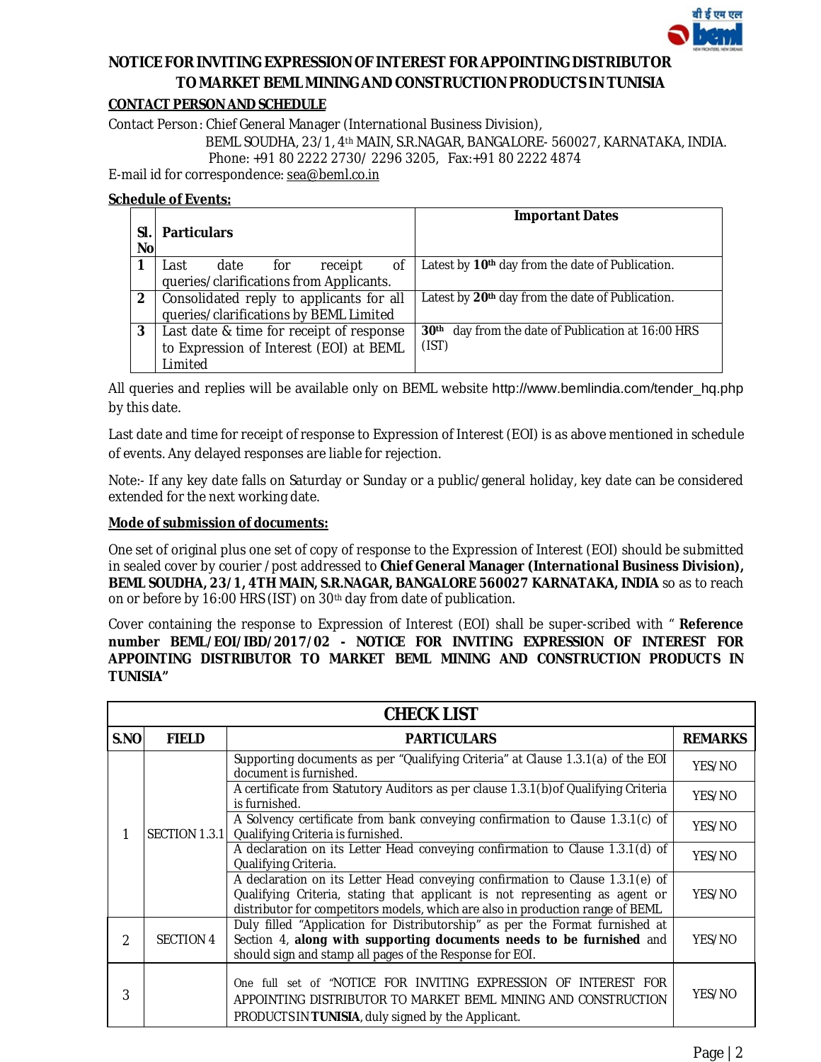

# **NOTICE FOR INVITING EXPRESSION OF INTEREST FOR APPOINTING DISTRIBUTOR TO MARKET BEML MINING AND CONSTRUCTION PRODUCTS IN TUNISIA**

## **CONTACT PERSON AND SCHEDULE**

Contact Person: Chief General Manager (International Business Division),

BEML SOUDHA, 23/1, 4th MAIN, S.R.NAGAR, BANGALORE- 560027, KARNATAKA, INDIA.

Phone: +91 80 2222 2730/ 2296 3205, Fax:+91 80 2222 4874

E-mail id for correspondence: [sea@beml.co.in](mailto:sea@beml.co.in)

#### **Schedule of Events:**

| SΙ<br><b>No</b> | <b>Particulars</b>                       | <b>Important Dates</b>                                            |
|-----------------|------------------------------------------|-------------------------------------------------------------------|
|                 | οf<br>date<br>for<br>receipt<br>Last     | Latest by 10 <sup>th</sup> day from the date of Publication.      |
|                 | queries/clarifications from Applicants.  |                                                                   |
| $\mathbf{2}$    | Consolidated reply to applicants for all | Latest by 20th day from the date of Publication.                  |
|                 | queries/clarifications by BEML Limited   |                                                                   |
| 3               | Last date & time for receipt of response | day from the date of Publication at 16:00 HRS<br>30 <sup>th</sup> |
|                 | to Expression of Interest (EOI) at BEML  | (IST)                                                             |
|                 | Limited                                  |                                                                   |

All queries and replies will be available only on BEML website [http://www.bemlindia.com/tender\\_hq.php](http://www.bemlindia.com/tender_hq.php) by this date.

Last date and time for receipt of response to Expression of Interest (EOI) is as above mentioned in schedule of events. Any delayed responses are liable for rejection.

Note:- If any key date falls on Saturday or Sunday or a public/general holiday, key date can be considered extended for the next working date.

### **Mode of submission of documents:**

One set of original plus one set of copy of response to the Expression of Interest (EOI) should be submitted in sealed cover by courier /post addressed to **Chief General Manager (International Business Division), BEML SOUDHA, 23/1, 4TH MAIN, S.R.NAGAR, BANGALORE 560027 KARNATAKA, INDIA** so as to reach on or before by 16:00 HRS (IST) on 30th day from date of publication.

Cover containing the response to Expression of Interest (EOI) shall be super-scribed with " **Reference number BEML/EOI/IBD/2017/02 - NOTICE FOR INVITING EXPRESSION OF INTEREST FOR APPOINTING DISTRIBUTOR TO MARKET BEML MINING AND CONSTRUCTION PRODUCTS IN TUNISIA"** 

|                | <b>CHECK LIST</b>    |                                                                                                                                                                                                                                                |                            |  |  |  |
|----------------|----------------------|------------------------------------------------------------------------------------------------------------------------------------------------------------------------------------------------------------------------------------------------|----------------------------|--|--|--|
| S.NO           | <b>FIELD</b>         | <b>PARTICULARS</b>                                                                                                                                                                                                                             | <b>REMARKS</b>             |  |  |  |
|                |                      | Supporting documents as per "Qualifying Criteria" at Clause 1.3.1(a) of the EOI<br>document is furnished.                                                                                                                                      | YES/NO                     |  |  |  |
|                |                      | A certificate from Statutory Auditors as per clause 1.3.1(b) of Qualifying Criteria<br>is furnished.                                                                                                                                           | YES/NO<br>YES/NO<br>YES/NO |  |  |  |
|                | <b>SECTION 1.3.1</b> | A Solvency certificate from bank conveying confirmation to Clause 1.3.1(c) of<br>Qualifying Criteria is furnished.                                                                                                                             |                            |  |  |  |
|                |                      | A declaration on its Letter Head conveying confirmation to Clause 1.3.1(d) of<br>Qualifying Criteria.                                                                                                                                          |                            |  |  |  |
|                |                      | A declaration on its Letter Head conveying confirmation to Clause 1.3.1(e) of<br>Qualifying Criteria, stating that applicant is not representing as agent or<br>distributor for competitors models, which are also in production range of BEML | YES/NO                     |  |  |  |
| $\mathfrak{D}$ | SECTION 4            | Duly filled "Application for Distributorship" as per the Format furnished at<br>Section 4, along with supporting documents needs to be furnished and<br>should sign and stamp all pages of the Response for EOI.                               | YES/NO                     |  |  |  |
| 3              |                      | One full set of "NOTICE FOR INVITING EXPRESSION OF<br>INTEREST FOR<br>APPOINTING DISTRIBUTOR TO MARKET BEML MINING AND CONSTRUCTION<br>PRODUCTS IN TUNISIA, duly signed by the Applicant.                                                      | YES/NO                     |  |  |  |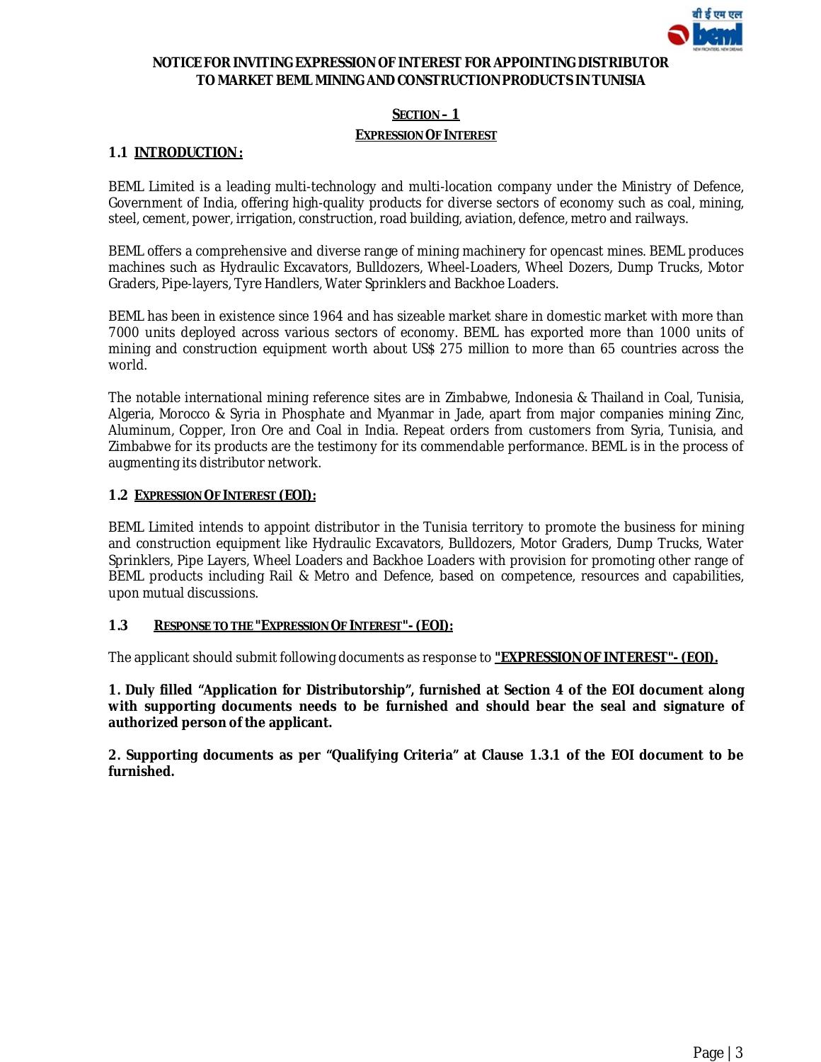

### **NOTICE FOR INVITING EXPRESSION OF INTEREST FOR APPOINTING DISTRIBUTOR TO MARKET BEML MINING AND CONSTRUCTIONPRODUCTS IN TUNISIA**

### **SECTION – 1**

#### **EXPRESSION OF INTEREST**

#### **1.1 INTRODUCTION :**

BEML Limited is a leading multi-technology and multi-location company under the Ministry of Defence, Government of India, offering high-quality products for diverse sectors of economy such as coal, mining, steel, cement, power, irrigation, construction, road building, aviation, defence, metro and railways.

BEML offers a comprehensive and diverse range of mining machinery for opencast mines. BEML produces machines such as Hydraulic Excavators, Bulldozers, Wheel-Loaders, Wheel Dozers, Dump Trucks, Motor Graders, Pipe-layers, Tyre Handlers, Water Sprinklers and Backhoe Loaders.

BEML has been in existence since 1964 and has sizeable market share in domestic market with more than 7000 units deployed across various sectors of economy. BEML has exported more than 1000 units of mining and construction equipment worth about US\$ 275 million to more than 65 countries across the world.

The notable international mining reference sites are in Zimbabwe, Indonesia & Thailand in Coal, Tunisia, Algeria, Morocco & Syria in Phosphate and Myanmar in Jade, apart from major companies mining Zinc, Aluminum, Copper, Iron Ore and Coal in India. Repeat orders from customers from Syria, Tunisia, and Zimbabwe for its products are the testimony for its commendable performance. BEML is in the process of augmenting its distributor network.

#### **1.2 EXPRESSION OF INTEREST (EOI):**

BEML Limited intends to appoint distributor in the Tunisia territory to promote the business for mining and construction equipment like Hydraulic Excavators, Bulldozers, Motor Graders, Dump Trucks, Water Sprinklers, Pipe Layers, Wheel Loaders and Backhoe Loaders with provision for promoting other range of BEML products including Rail & Metro and Defence, based on competence, resources and capabilities, upon mutual discussions.

### **1.3 RESPONSE TO THE "EXPRESSION OF INTEREST"- (EOI):**

The applicant should submit following documents as response to **"EXPRESSION OF INTEREST"- (EOI).**

**1. Duly filled "Application for Distributorship", furnished at Section 4 of the EOI document along with supporting documents needs to be furnished and should bear the seal and signature of authorized person of the applicant.**

**2. Supporting documents as per "Qualifying Criteria" at Clause 1.3.1 of the EOI document to be furnished.**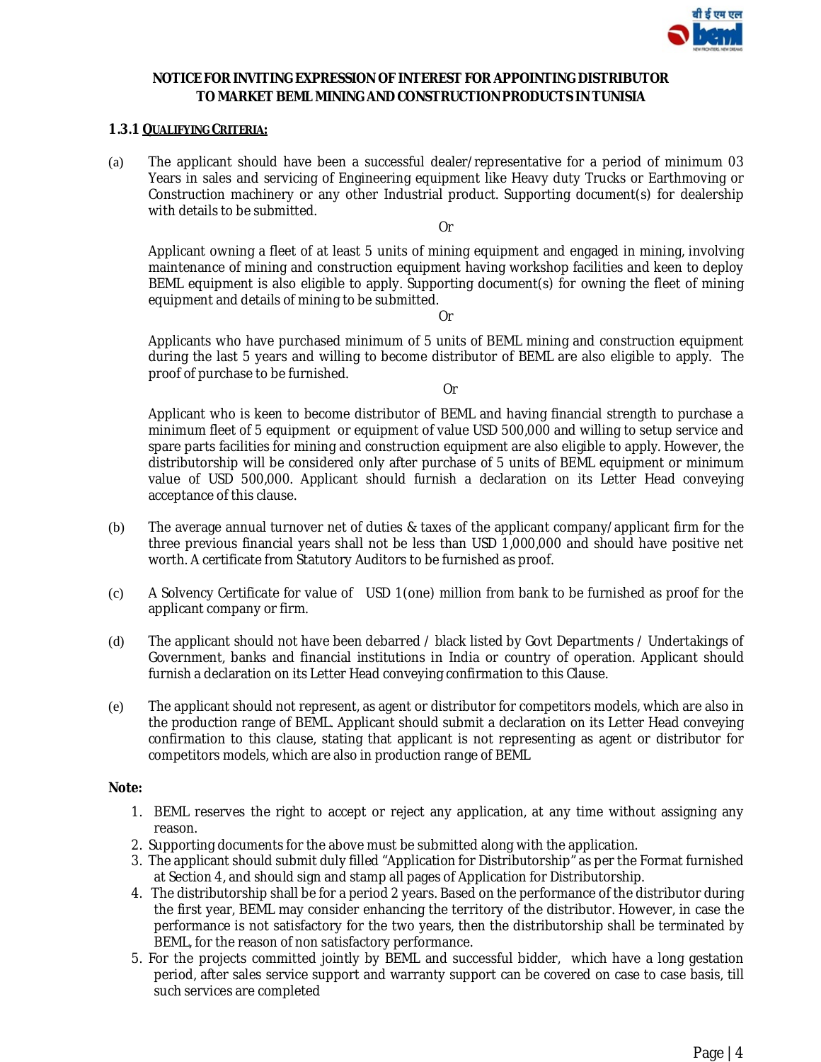

#### **NOTICE FOR INVITING EXPRESSION OF INTEREST FOR APPOINTING DISTRIBUTOR TO MARKET BEML MINING AND CONSTRUCTIONPRODUCTS IN TUNISIA**

#### **1.3.1 QUALIFYING CRITERIA:**

(a) The applicant should have been a successful dealer/representative for a period of minimum 03 Years in sales and servicing of Engineering equipment like Heavy duty Trucks or Earthmoving or Construction machinery or any other Industrial product. Supporting document(s) for dealership with details to be submitted.

Or

Applicant owning a fleet of at least 5 units of mining equipment and engaged in mining, involving maintenance of mining and construction equipment having workshop facilities and keen to deploy BEML equipment is also eligible to apply. Supporting document(s) for owning the fleet of mining equipment and details of mining to be submitted.

Or

Applicants who have purchased minimum of 5 units of BEML mining and construction equipment during the last 5 years and willing to become distributor of BEML are also eligible to apply. The proof of purchase to be furnished.

Or

Applicant who is keen to become distributor of BEML and having financial strength to purchase a minimum fleet of 5 equipment or equipment of value USD 500,000 and willing to setup service and spare parts facilities for mining and construction equipment are also eligible to apply. However, the distributorship will be considered only after purchase of 5 units of BEML equipment or minimum value of USD 500,000. Applicant should furnish a declaration on its Letter Head conveying acceptance of this clause.

- (b) The average annual turnover net of duties & taxes of the applicant company/applicant firm for the three previous financial years shall not be less than USD 1,000,000 and should have positive net worth. A certificate from Statutory Auditors to be furnished as proof.
- (c) A Solvency Certificate for value of USD 1(one) million from bank to be furnished as proof for the applicant company or firm.
- (d) The applicant should not have been debarred / black listed by Govt Departments / Undertakings of Government, banks and financial institutions in India or country of operation. Applicant should furnish a declaration on its Letter Head conveying confirmation to this Clause.
- (e) The applicant should not represent, as agent or distributor for competitors models, which are also in the production range of BEML. Applicant should submit a declaration on its Letter Head conveying confirmation to this clause, stating that applicant is not representing as agent or distributor for competitors models, which are also in production range of BEML

#### **Note:**

- 1. BEML reserves the right to accept or reject any application, at any time without assigning any reason.
- 2. Supporting documents for the above must be submitted along with the application.
- 3. The applicant should submit duly filled "Application for Distributorship" as per the Format furnished at Section 4, and should sign and stamp all pages of Application for Distributorship.
- 4. The distributorship shall be for a period 2 years. Based on the performance of the distributor during the first year, BEML may consider enhancing the territory of the distributor. However, in case the performance is not satisfactory for the two years, then the distributorship shall be terminated by BEML, for the reason of non satisfactory performance.
- 5. For the projects committed jointly by BEML and successful bidder, which have a long gestation period, after sales service support and warranty support can be covered on case to case basis, till such services are completed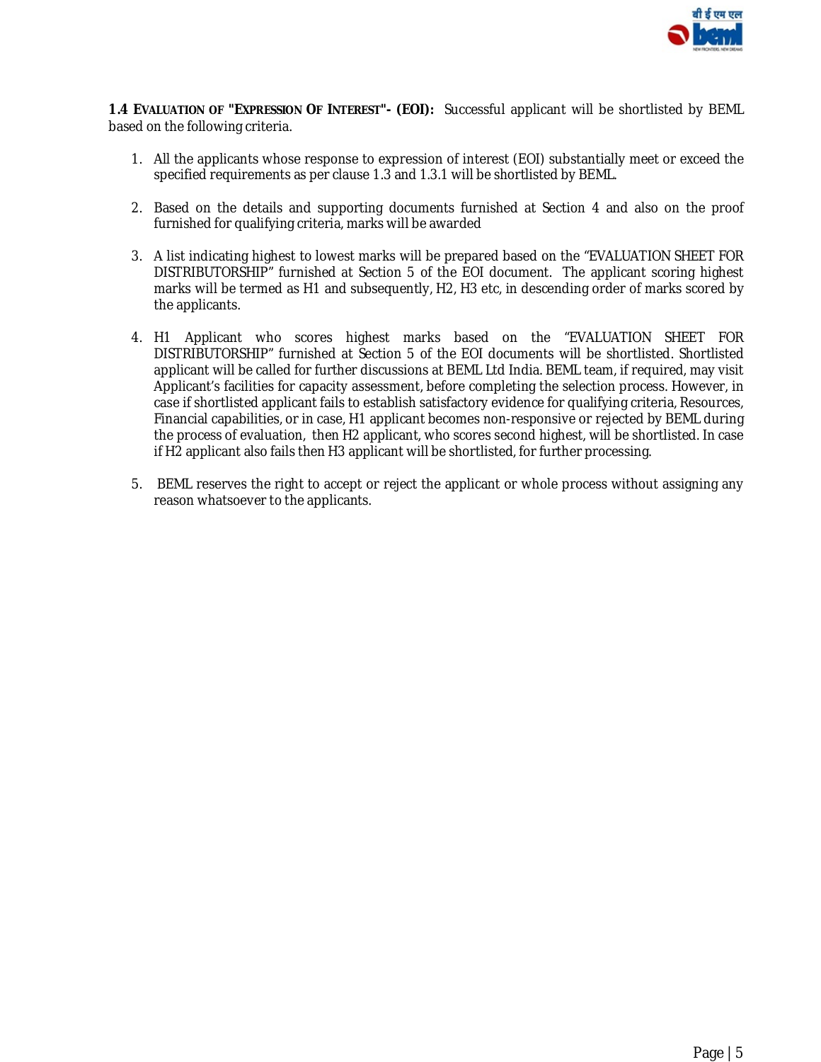

**1.4 EVALUATION OF "EXPRESSION OF INTEREST"- (EOI):** Successful applicant will be shortlisted by BEML based on the following criteria.

- 1. All the applicants whose response to expression of interest (EOI) substantially meet or exceed the specified requirements as per clause 1.3 and 1.3.1 will be shortlisted by BEML.
- 2. Based on the details and supporting documents furnished at Section 4 and also on the proof furnished for qualifying criteria, marks will be awarded
- 3. A list indicating highest to lowest marks will be prepared based on the "EVALUATION SHEET FOR DISTRIBUTORSHIP" furnished at Section 5 of the EOI document. The applicant scoring highest marks will be termed as H1 and subsequently, H2, H3 etc, in descending order of marks scored by the applicants.
- 4. H1 Applicant who scores highest marks based on the "EVALUATION SHEET FOR DISTRIBUTORSHIP" furnished at Section 5 of the EOI documents will be shortlisted. Shortlisted applicant will be called for further discussions at BEML Ltd India. BEML team, if required, may visit Applicant's facilities for capacity assessment, before completing the selection process. However, in case if shortlisted applicant fails to establish satisfactory evidence for qualifying criteria, Resources, Financial capabilities, or in case, H1 applicant becomes non-responsive or rejected by BEML during the process of evaluation, then H2 applicant, who scores second highest, will be shortlisted. In case if H2 applicant also fails then H3 applicant will be shortlisted, for further processing.
- 5. BEML reserves the right to accept or reject the applicant or whole process without assigning any reason whatsoever to the applicants.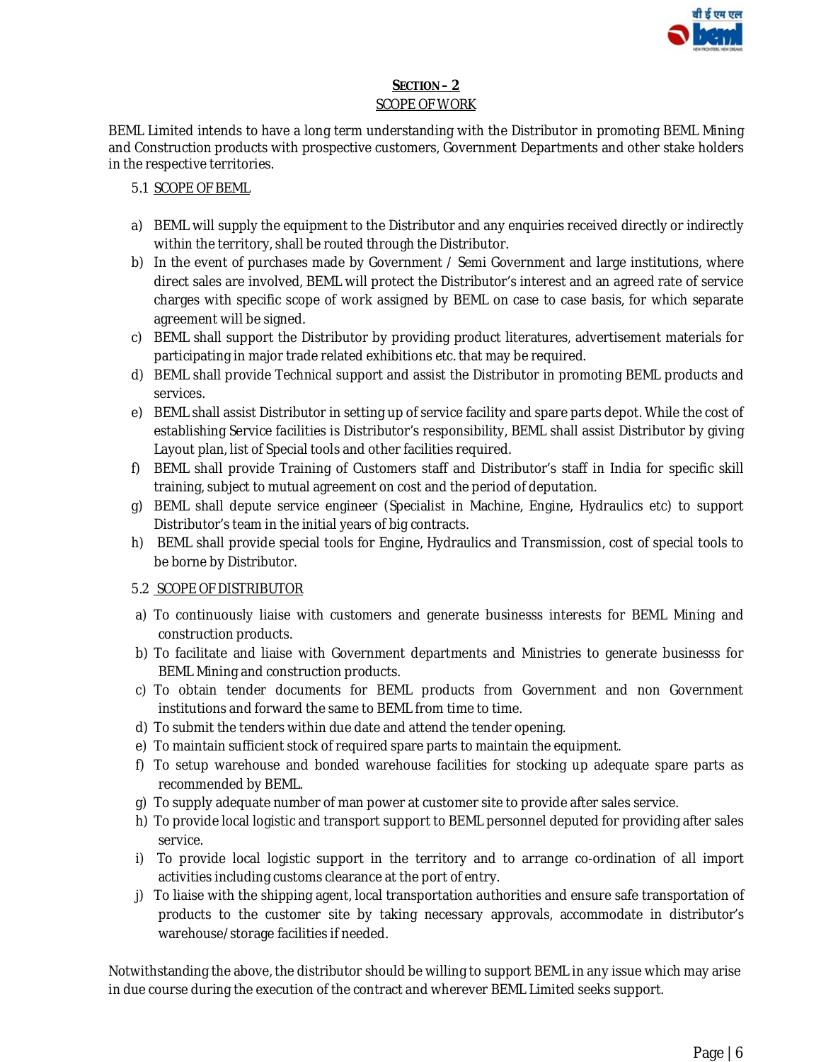

### **SECTION – 2** SCOPE OF WORK

BEML Limited intends to have a long term understanding with the Distributor in promoting BEML Mining and Construction products with prospective customers, Government Departments and other stake holders in the respective territories.

### 5.1 SCOPE OF BEML

- a) BEML will supply the equipment to the Distributor and any enquiries received directly or indirectly within the territory, shall be routed through the Distributor.
- b) In the event of purchases made by Government / Semi Government and large institutions, where direct sales are involved, BEML will protect the Distributor's interest and an agreed rate of service charges with specific scope of work assigned by BEML on case to case basis, for which separate agreement will be signed.
- c) BEML shall support the Distributor by providing product literatures, advertisement materials for participating in major trade related exhibitions etc. that may be required.
- d) BEML shall provide Technical support and assist the Distributor in promoting BEML products and services.
- e) BEML shall assist Distributor in setting up of service facility and spare parts depot. While the cost of establishing Service facilities is Distributor's responsibility, BEML shall assist Distributor by giving Layout plan, list of Special tools and other facilities required.
- f) BEML shall provide Training of Customers staff and Distributor's staff in India for specific skill training, subject to mutual agreement on cost and the period of deputation.
- g) BEML shall depute service engineer (Specialist in Machine, Engine, Hydraulics etc) to support Distributor's team in the initial years of big contracts.
- h) BEML shall provide special tools for Engine, Hydraulics and Transmission, cost of special tools to be borne by Distributor.

## 5.2 SCOPE OF DISTRIBUTOR

- a) To continuously liaise with customers and generate businesss interests for BEML Mining and construction products.
- b) To facilitate and liaise with Government departments and Ministries to generate businesss for BEML Mining and construction products.
- c) To obtain tender documents for BEML products from Government and non Government institutions and forward the same to BEML from time to time.
- d) To submit the tenders within due date and attend the tender opening.
- e) To maintain sufficient stock of required spare parts to maintain the equipment.
- f) To setup warehouse and bonded warehouse facilities for stocking up adequate spare parts as recommended by BEML.
- g) To supply adequate number of man power at customer site to provide after sales service.
- h) To provide local logistic and transport support to BEML personnel deputed for providing after sales service.
- i) To provide local logistic support in the territory and to arrange co-ordination of all import activities including customs clearance at the port of entry.
- j) To liaise with the shipping agent, local transportation authorities and ensure safe transportation of products to the customer site by taking necessary approvals, accommodate in distributor's warehouse/storage facilities if needed.

Notwithstanding the above, the distributor should be willing to support BEML in any issue which may arise in due course during the execution of the contract and wherever BEML Limited seeks support.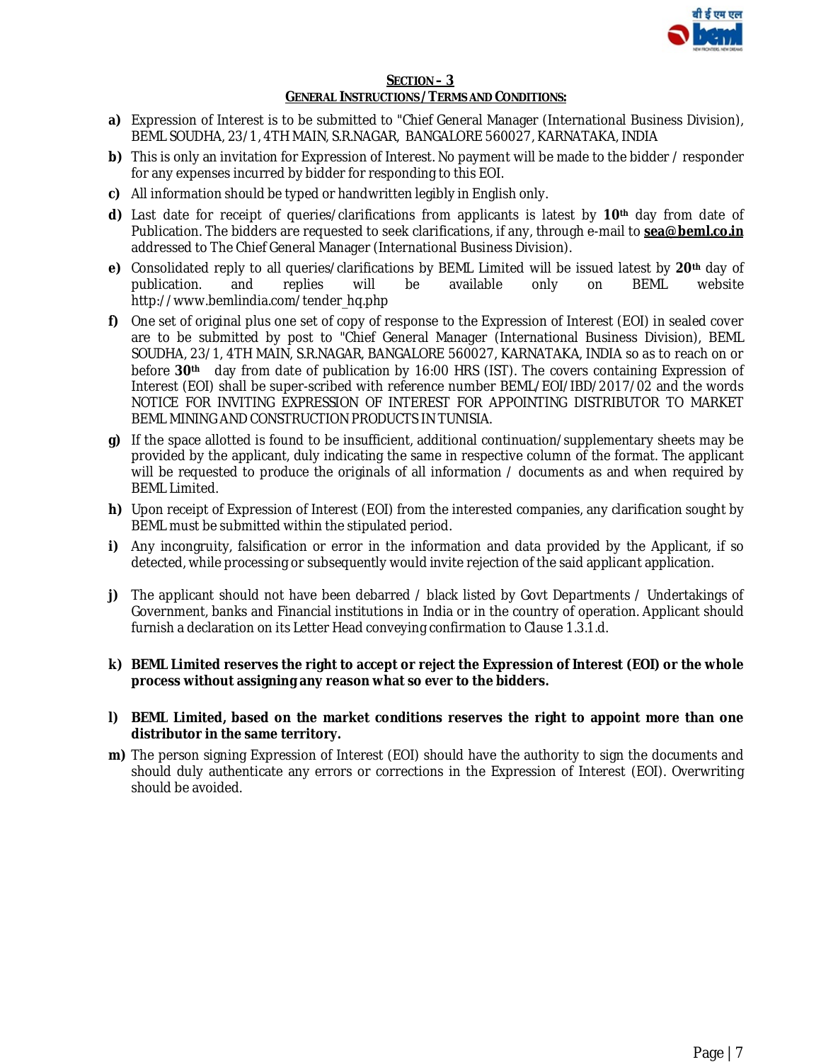

#### **SECTION – 3 GENERAL INSTRUCTIONS /TERMS AND CONDITIONS:**

- **a)** Expression of Interest is to be submitted to "Chief General Manager (International Business Division), BEML SOUDHA, 23/1, 4TH MAIN, S.R.NAGAR, BANGALORE 560027, KARNATAKA, INDIA
- **b)** This is only an invitation for Expression of Interest. No payment will be made to the bidder / responder for any expenses incurred by bidder for responding to this EOI.
- **c)** All information should be typed or handwritten legibly in English only.
- **d)** Last date for receipt of queries/clarifications from applicants is latest by **10th** day from date of Publication. The bidders are requested to seek clarifications, if any, through e-mail to **[sea@beml.co.in](mailto:sea@beml.co.in)** addressed to The Chief General Manager (International Business Division).
- **e)** Consolidated reply to all queries/clarifications by BEML Limited will be issued latest by **20th** day of publication. and replies will be available only on BEML website [http://www.bemlindia.com/tender\\_hq.php](http://www.bemlindia.com/tender_hq.php)
- **f)** One set of original plus one set of copy of response to the Expression of Interest (EOI) in sealed cover are to be submitted by post to "Chief General Manager (International Business Division), BEML SOUDHA, 23/1, 4TH MAIN, S.R.NAGAR, BANGALORE 560027, KARNATAKA, INDIA so as to reach on or before **30th** day from date of publication by 16:00 HRS (IST). The covers containing Expression of Interest (EOI) shall be super-scribed with reference number BEML/EOI/IBD/2017/02 and the words NOTICE FOR INVITING EXPRESSION OF INTEREST FOR APPOINTING DISTRIBUTOR TO MARKET BEML MINING AND CONSTRUCTION PRODUCTS IN TUNISIA.
- **g)** If the space allotted is found to be insufficient, additional continuation/supplementary sheets may be provided by the applicant, duly indicating the same in respective column of the format. The applicant will be requested to produce the originals of all information / documents as and when required by BEML Limited.
- **h)** Upon receipt of Expression of Interest (EOI) from the interested companies, any clarification sought by BEML must be submitted within the stipulated period.
- **i)** Any incongruity, falsification or error in the information and data provided by the Applicant, if so detected, while processing or subsequently would invite rejection of the said applicant application.
- **j)** The applicant should not have been debarred / black listed by Govt Departments / Undertakings of Government, banks and Financial institutions in India or in the country of operation. Applicant should furnish a declaration on its Letter Head conveying confirmation to Clause 1.3.1.d.
- **k) BEML Limited reserves the right to accept or reject the Expression of Interest (EOI) or the whole process without assigning any reason what so ever to the bidders.**
- **l) BEML Limited, based on the market conditions reserves the right to appoint more than one distributor in the same territory.**
- **m)** The person signing Expression of Interest (EOI) should have the authority to sign the documents and should duly authenticate any errors or corrections in the Expression of Interest (EOI). Overwriting should be avoided.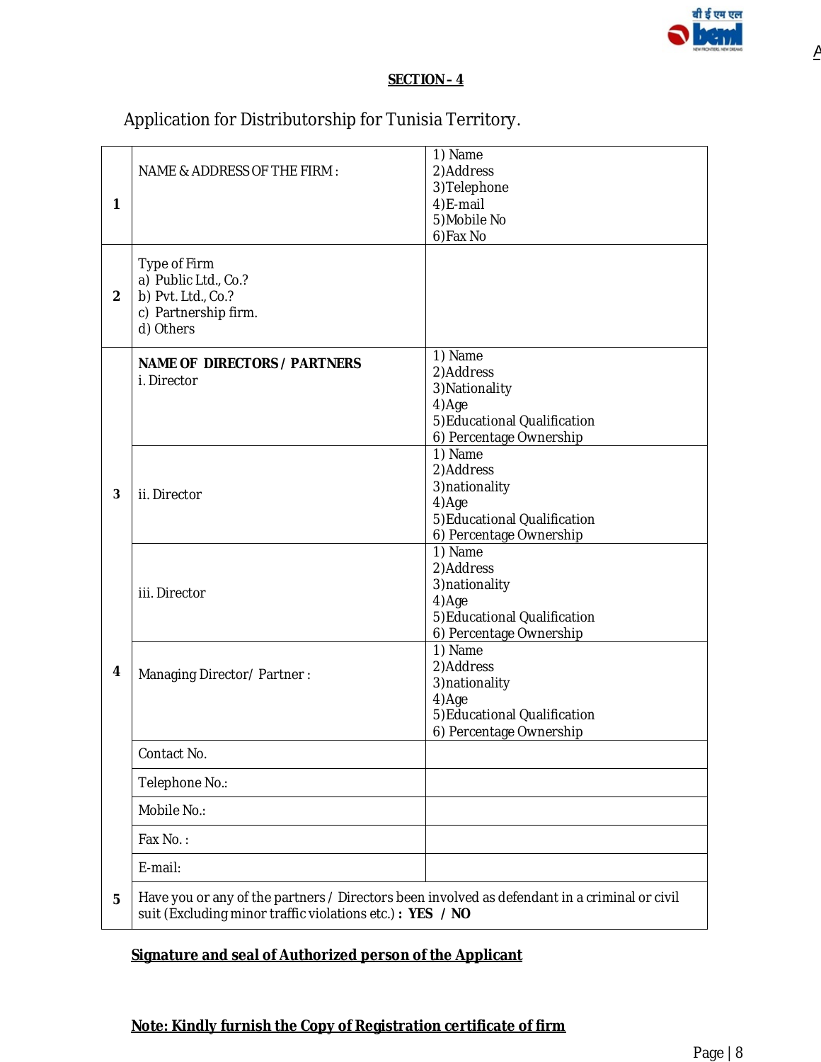

<u>A</u>

### **SECTION – 4**

Application for Distributorship for Tunisia Territory.

| 1              | NAME & ADDRESS OF THE FIRM:                                                                                                                               | 1) Name<br>2) Address<br>3) Telephone<br>4)E-mail<br>5) Mobile No<br>6) Fax No                              |
|----------------|-----------------------------------------------------------------------------------------------------------------------------------------------------------|-------------------------------------------------------------------------------------------------------------|
| $\overline{2}$ | Type of Firm<br>a) Public Ltd., Co.?<br>b) Pvt. Ltd., Co.?<br>c) Partnership firm.<br>d) Others                                                           |                                                                                                             |
|                | <b>NAME OF DIRECTORS / PARTNERS</b><br>i. Director                                                                                                        | 1) Name<br>2)Address<br>3) Nationality<br>4)Age<br>5) Educational Qualification<br>6) Percentage Ownership  |
| 3              | ii. Director                                                                                                                                              | 1) Name<br>2) Address<br>3) nationality<br>4)Age<br>5) Educational Qualification<br>6) Percentage Ownership |
|                | iii. Director                                                                                                                                             | 1) Name<br>2) Address<br>3) nationality<br>4)Age<br>5) Educational Qualification<br>6) Percentage Ownership |
| 4              | Managing Director/Partner:                                                                                                                                | 1) Name<br>2)Address<br>3) nationality<br>4)Age<br>5) Educational Qualification<br>6) Percentage Ownership  |
|                | Contact No.                                                                                                                                               |                                                                                                             |
|                | Telephone No.:                                                                                                                                            |                                                                                                             |
|                | Mobile No.:                                                                                                                                               |                                                                                                             |
|                | Fax No.:                                                                                                                                                  |                                                                                                             |
|                | E-mail:                                                                                                                                                   |                                                                                                             |
| 5              | Have you or any of the partners / Directors been involved as defendant in a criminal or civil<br>suit (Excluding minor traffic violations etc.): YES / NO |                                                                                                             |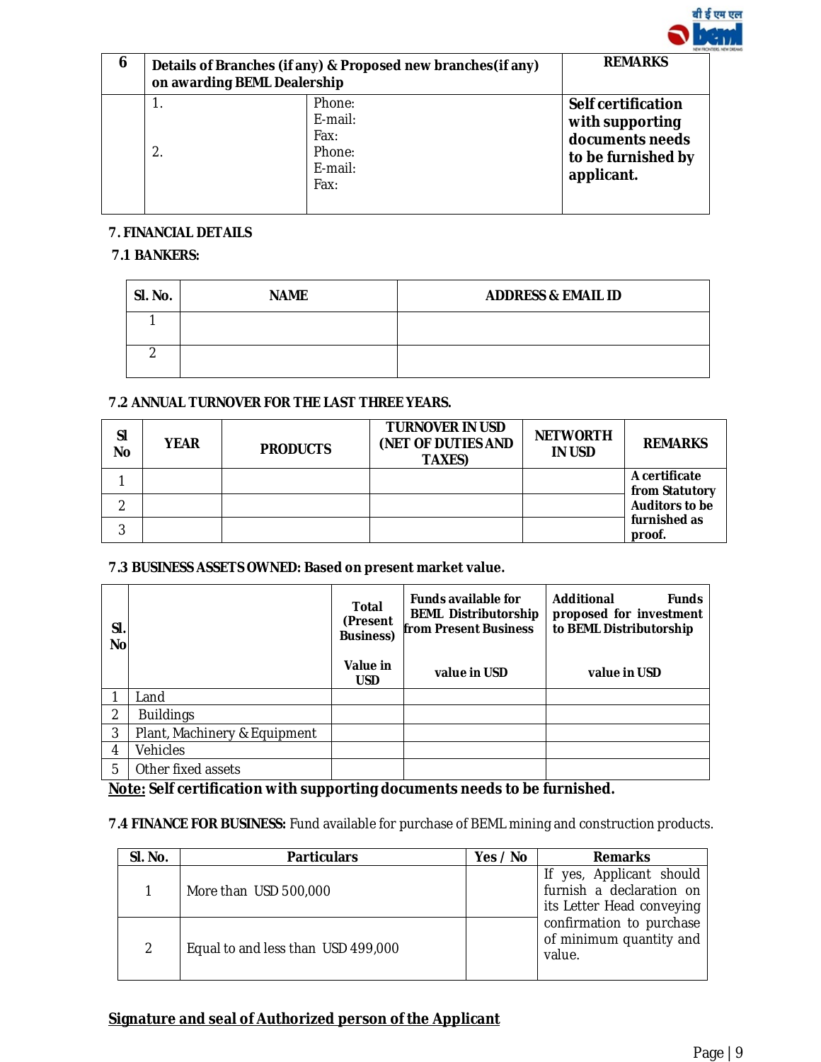

| 6 | on awarding BEML Dealership | Details of Branches (if any) & Proposed new branches (if any) | <b>REMARKS</b>                                                                                      |
|---|-----------------------------|---------------------------------------------------------------|-----------------------------------------------------------------------------------------------------|
|   | $\overline{2}$              | Phone:<br>E-mail:<br>Fax:<br>Phone:<br>E-mail:<br>Fax:        | <b>Self certification</b><br>with supporting<br>documents needs<br>to be furnished by<br>applicant. |

## **7. FINANCIAL DETAILS**

# **7.1 BANKERS:**

| SI. No. | <b>NAME</b> | <b>ADDRESS &amp; EMAIL ID</b> |
|---------|-------------|-------------------------------|
|         |             |                               |
|         |             |                               |

## **7.2 ANNUAL TURNOVER FOR THE LAST THREE YEARS.**

| <b>SI</b><br><b>No</b> | <b>YEAR</b> | <b>PRODUCTS</b> | <b>TURNOVER IN USD</b><br>(NET OF DUTIES AND<br><b>TAXES)</b> | <b>NETWORTH</b><br><b>IN USD</b> | <b>REMARKS</b>                  |
|------------------------|-------------|-----------------|---------------------------------------------------------------|----------------------------------|---------------------------------|
|                        |             |                 |                                                               |                                  | A certificate<br>from Statutory |
|                        |             |                 |                                                               |                                  | <b>Auditors to be</b>           |
| 3                      |             |                 |                                                               |                                  | furnished as<br>proof.          |

### **7.3 BUSINESS ASSETS OWNED: Based on present market value.**

| SI.<br>No |                              | <b>Total</b><br>(Present<br><b>Business)</b> | <b>Funds available for</b><br><b>BEML Distributorship</b><br><b>from Present Business</b> | Additional<br><b>Funds</b><br>proposed for investment<br>to BEML Distributorship |
|-----------|------------------------------|----------------------------------------------|-------------------------------------------------------------------------------------------|----------------------------------------------------------------------------------|
|           |                              | Value in<br><b>USD</b>                       | value in USD                                                                              | value in USD                                                                     |
|           | Land                         |                                              |                                                                                           |                                                                                  |
| 2         | <b>Buildings</b>             |                                              |                                                                                           |                                                                                  |
| 3         | Plant, Machinery & Equipment |                                              |                                                                                           |                                                                                  |
| 4         | Vehicles                     |                                              |                                                                                           |                                                                                  |
| 5         | Other fixed assets           |                                              |                                                                                           |                                                                                  |

**Note: Self certification with supporting documents needs to be furnished.**

**7.4 FINANCE FOR BUSINESS:** Fund available for purchase of BEML mining and construction products.

| SI. No.       | <b>Particulars</b>                 | Yes / No | <b>Remarks</b>                                                                 |
|---------------|------------------------------------|----------|--------------------------------------------------------------------------------|
|               | More than USD 500,000              |          | yes, Applicant should<br>furnish a declaration on<br>its Letter Head conveying |
| $\mathcal{P}$ | Equal to and less than USD 499,000 |          | confirmation to purchase<br>of minimum quantity and<br>value.                  |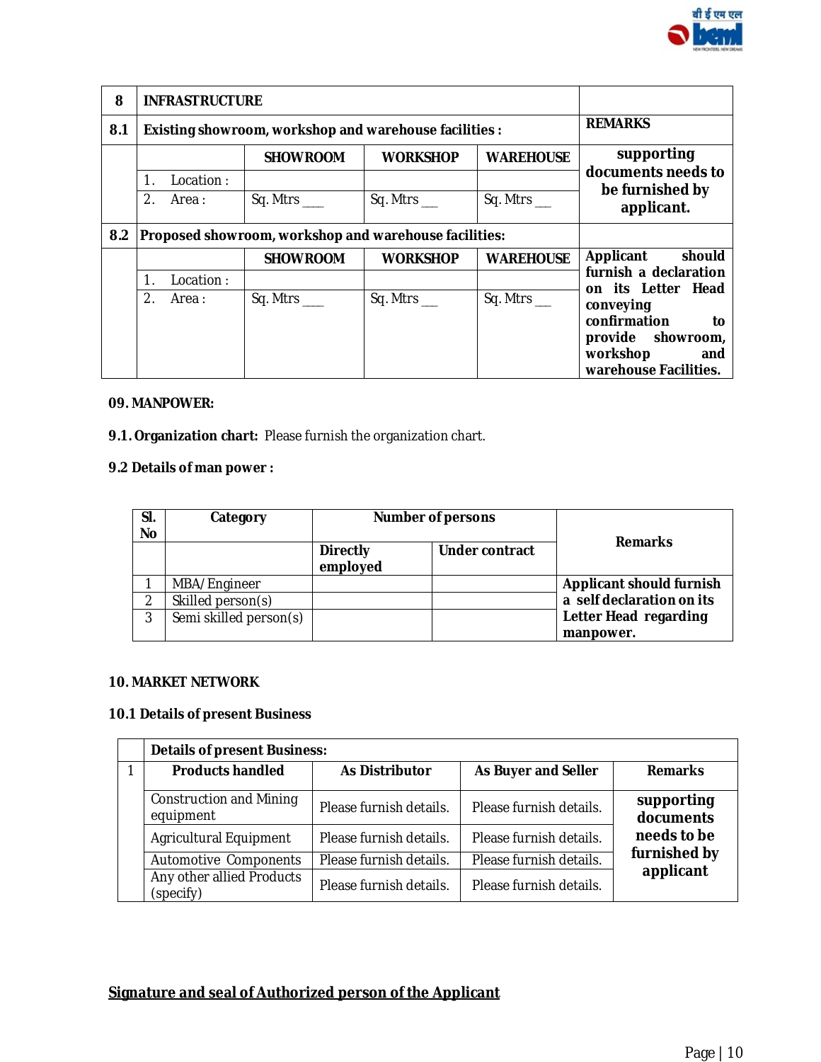

| 8   | <b>INFRASTRUCTURE</b>                                  |           |                                                        |                 |                    |                                                                                                  |  |  |
|-----|--------------------------------------------------------|-----------|--------------------------------------------------------|-----------------|--------------------|--------------------------------------------------------------------------------------------------|--|--|
| 8.1 |                                                        |           | Existing showroom, workshop and warehouse facilities : |                 |                    | <b>REMARKS</b>                                                                                   |  |  |
|     | <b>WAREHOUSE</b><br><b>SHOWROOM</b><br><b>WORKSHOP</b> |           |                                                        |                 |                    | supporting                                                                                       |  |  |
|     | Location:<br>1.                                        |           |                                                        |                 | documents needs to |                                                                                                  |  |  |
|     | $\mathcal{D}_{\cdot}$                                  | Area :    | Sq. Mtrs $\_\_\_\$                                     | Sq. Mtrs_       | Sq. Mtrs_          | be furnished by<br>applicant.                                                                    |  |  |
| 8.2 | Proposed showroom, workshop and warehouse facilities:  |           |                                                        |                 |                    |                                                                                                  |  |  |
|     |                                                        |           | <b>SHOWROOM</b>                                        | <b>WORKSHOP</b> | <b>WAREHOUSE</b>   | Applicant<br>should                                                                              |  |  |
|     |                                                        | Location: |                                                        |                 |                    | furnish a declaration<br>on its Letter Head                                                      |  |  |
|     | 2.                                                     | Area:     | Sq. Mtrs ____                                          | Sq. Mtrs_       | Sq. Mtrs_          | conveying<br>confirmation<br>to<br>provide showroom,<br>workshop<br>and<br>warehouse Facilities. |  |  |

### **09. MANPOWER:**

**9.1. Organization chart:** Please furnish the organization chart.

# **9.2 Details of man power :**

| SI.<br><b>No</b> | Category               |                             | <b>Number of persons</b> | <b>Remarks</b>                     |
|------------------|------------------------|-----------------------------|--------------------------|------------------------------------|
|                  |                        | <b>Directly</b><br>employed | <b>Under contract</b>    |                                    |
|                  | MBA/Engineer           |                             |                          | <b>Applicant should furnish</b>    |
| ⌒                | Skilled person(s)      |                             |                          | a self declaration on its          |
| 3                | Semi skilled person(s) |                             |                          | Letter Head regarding<br>manpower. |

### **10. MARKET NETWORK**

# **10.1 Details of present Business**

| <b>Details of present Business:</b>         |                         |                         |                         |  |  |  |  |
|---------------------------------------------|-------------------------|-------------------------|-------------------------|--|--|--|--|
| <b>Products handled</b>                     | <b>As Distributor</b>   | As Buyer and Seller     | <b>Remarks</b>          |  |  |  |  |
| <b>Construction and Mining</b><br>equipment | Please furnish details. | Please furnish details. | supporting<br>documents |  |  |  |  |
| Agricultural Equipment                      | Please furnish details. | Please furnish details. | needs to be             |  |  |  |  |
| Automotive Components                       | Please furnish details. | Please furnish details. | furnished by            |  |  |  |  |
| Any other allied Products<br>(specify)      | Please furnish details. | Please furnish details. | applicant               |  |  |  |  |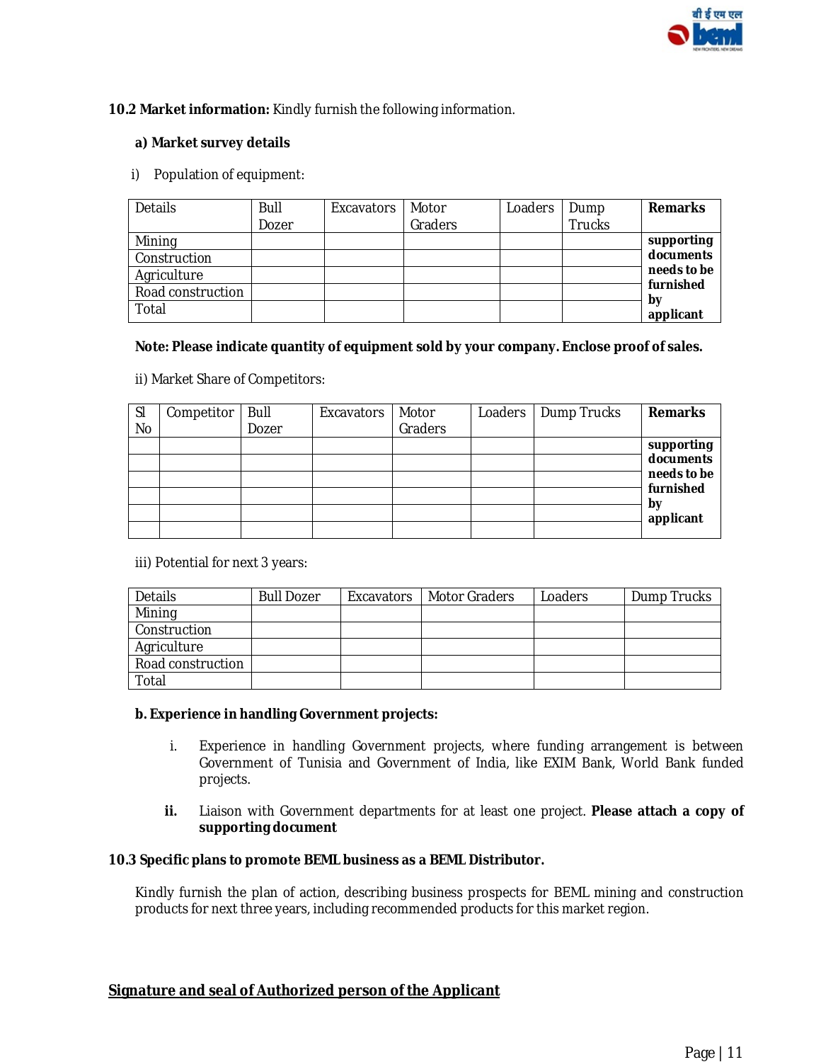

### **10.2 Market information:** Kindly furnish the following information.

### **a) Market survey details**

i) Population of equipment:

| Details           | Bull  | Excavators | Motor   | Loaders | Dump          | <b>Remarks</b>  |
|-------------------|-------|------------|---------|---------|---------------|-----------------|
|                   | Dozer |            | Graders |         | <b>Trucks</b> |                 |
| Mining            |       |            |         |         |               | supporting      |
| Construction      |       |            |         |         |               | documents       |
| Agriculture       |       |            |         |         |               | needs to be     |
| Road construction |       |            |         |         |               | furnished       |
| Total             |       |            |         |         |               | by<br>applicant |

### **Note: Please indicate quantity of equipment sold by your company. Enclose proof of sales.**

ii) Market Share of Competitors:

| SI        | Competitor | Bull  | Excavators | Motor   | Loaders | Dump Trucks | <b>Remarks</b>  |
|-----------|------------|-------|------------|---------|---------|-------------|-----------------|
| <b>No</b> |            | Dozer |            | Graders |         |             |                 |
|           |            |       |            |         |         |             | supporting      |
|           |            |       |            |         |         |             | documents       |
|           |            |       |            |         |         |             | needs to be     |
|           |            |       |            |         |         |             | furnished       |
|           |            |       |            |         |         |             | by<br>applicant |
|           |            |       |            |         |         |             |                 |

iii) Potential for next 3 years:

| Details           | <b>Bull Dozer</b> | Excavators   Motor Graders | Loaders | Dump Trucks |
|-------------------|-------------------|----------------------------|---------|-------------|
| Mining            |                   |                            |         |             |
| Construction      |                   |                            |         |             |
| Agriculture       |                   |                            |         |             |
| Road construction |                   |                            |         |             |
| Total             |                   |                            |         |             |

#### **b. Experience in handling Government projects:**

- i. Experience in handling Government projects, where funding arrangement is between Government of Tunisia and Government of India, like EXIM Bank, World Bank funded projects.
- **ii.** Liaison with Government departments for at least one project. **Please attach a copy of supporting document**

#### **10.3 Specific plans to promote BEML business as a BEML Distributor.**

Kindly furnish the plan of action, describing business prospects for BEML mining and construction products for next three years, including recommended products for this market region.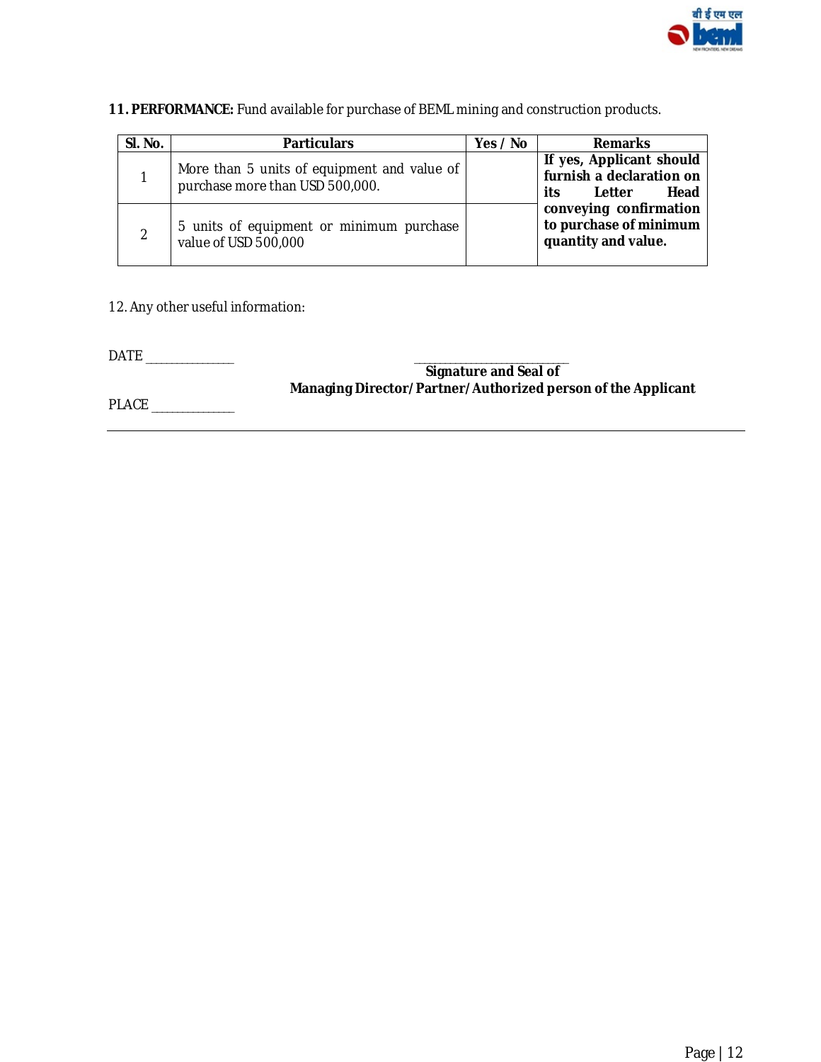

# **11. PERFORMANCE:** Fund available for purchase of BEML mining and construction products.

| SI. No.       | <b>Particulars</b>                                                             | Yes / No | <b>Remarks</b>                                                                |
|---------------|--------------------------------------------------------------------------------|----------|-------------------------------------------------------------------------------|
|               | More than 5 units of equipment and value of<br>purchase more than USD 500,000. |          | If yes, Applicant should<br>furnish a declaration on<br>Letter<br>Head<br>its |
| $\mathcal{P}$ | 5 units of equipment or minimum purchase<br>value of USD 500,000               |          | conveying confirmation<br>to purchase of minimum<br>quantity and value.       |

12. Any other useful information:

DATE \_\_\_\_\_\_\_\_\_\_\_\_\_\_\_\_\_ \_\_\_\_\_\_\_\_\_\_\_\_\_\_\_\_\_\_\_\_\_\_\_\_\_\_\_\_\_\_

 **Signature and Seal of Managing Director/Partner/Authorized person of the Applicant** 

PLACE \_\_\_\_\_\_\_\_\_\_\_\_\_\_\_\_